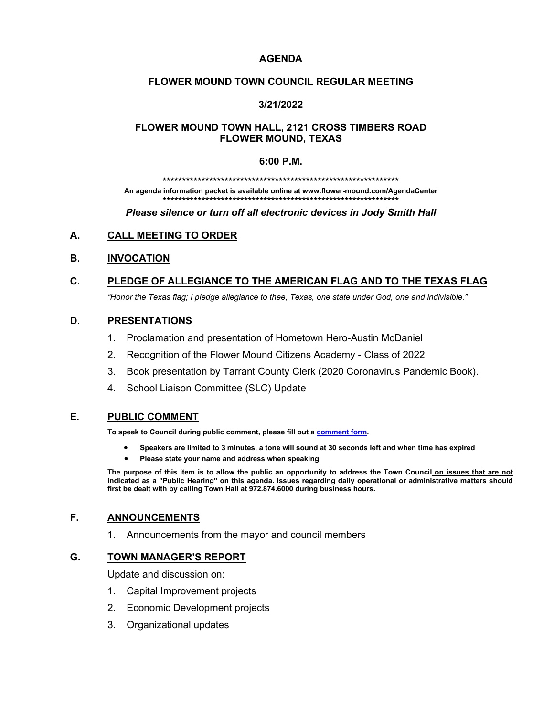#### **AGENDA**

#### **FLOWER MOUND TOWN COUNCIL REGULAR MEETING**

#### **3/21/2022**

#### **FLOWER MOUND TOWN HALL, 2121 CROSS TIMBERS ROAD FLOWER MOUND, TEXAS**

#### **6:00 P.M.**

#### **\*\*\*\*\*\*\*\*\*\*\*\*\*\*\*\*\*\*\*\*\*\*\*\*\*\*\*\*\*\*\*\*\*\*\*\*\*\*\*\*\*\*\*\*\*\*\*\*\*\*\*\*\*\*\*\*\*\*\*\*\***

**An agenda information packet is available online at www.flower-mound.com/AgendaCenter \*\*\*\*\*\*\*\*\*\*\*\*\*\*\*\*\*\*\*\*\*\*\*\*\*\*\*\*\*\*\*\*\*\*\*\*\*\*\*\*\*\*\*\*\*\*\*\*\*\*\*\*\*\*\*\*\*\*\*\*\***

*Please silence or turn off all electronic devices in Jody Smith Hall*

### **A. CALL MEETING TO ORDER**

#### **B. INVOCATION**

# **C. PLEDGE OF ALLEGIANCE TO THE AMERICAN FLAG AND TO THE TEXAS FLAG**

*"Honor the Texas flag; I pledge allegiance to thee, Texas, one state under God, one and indivisible."*

#### **D. PRESENTATIONS**

- 1. Proclamation and presentation of Hometown Hero-Austin McDaniel
- 2. Recognition of the Flower Mound Citizens Academy Class of 2022
- 3. Book presentation by Tarrant County Clerk (2020 Coronavirus Pandemic Book).
- 4. School Liaison Committee (SLC) Update

#### **E. PUBLIC COMMENT**

**To speak to Council during public comment, please fill out a [comment form.](https://www.flower-mound.com/DocumentCenter/View/10425)** 

- **Speakers are limited to 3 minutes, a tone will sound at 30 seconds left and when time has expired**
- **Please state your name and address when speaking**

**The purpose of this item is to allow the public an opportunity to address the Town Council on issues that are not indicated as a "Public Hearing" on this agenda. Issues regarding daily operational or administrative matters should first be dealt with by calling Town Hall at 972.874.6000 during business hours.**

## **F. ANNOUNCEMENTS**

1. Announcements from the mayor and council members

#### **G. TOWN MANAGER'S REPORT**

Update and discussion on:

- 1. Capital Improvement projects
- 2. Economic Development projects
- 3. Organizational updates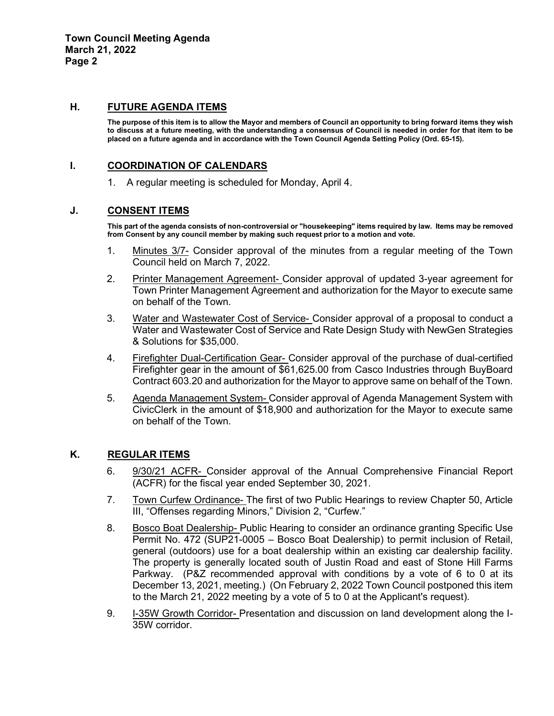#### **H. FUTURE AGENDA ITEMS**

**The purpose of this item is to allow the Mayor and members of Council an opportunity to bring forward items they wish to discuss at a future meeting, with the understanding a consensus of Council is needed in order for that item to be placed on a future agenda and in accordance with the Town Council Agenda Setting Policy (Ord. 65-15).**

#### **I. COORDINATION OF CALENDARS**

1. A regular meeting is scheduled for Monday, April 4.

#### **J. CONSENT ITEMS**

**This part of the agenda consists of non-controversial or "housekeeping" items required by law. Items may be removed from Consent by any council member by making such request prior to a motion and vote.** 

- 1. Minutes 3/7- Consider approval of the minutes from a regular meeting of the Town Council held on March 7, 2022.
- 2. Printer Management Agreement- Consider approval of updated 3-year agreement for Town Printer Management Agreement and authorization for the Mayor to execute same on behalf of the Town.
- 3. Water and Wastewater Cost of Service- Consider approval of a proposal to conduct a Water and Wastewater Cost of Service and Rate Design Study with NewGen Strategies & Solutions for \$35,000.
- 4. Firefighter Dual-Certification Gear- Consider approval of the purchase of dual-certified Firefighter gear in the amount of \$61,625.00 from Casco Industries through BuyBoard Contract 603.20 and authorization for the Mayor to approve same on behalf of the Town.
- 5. Agenda Management System- Consider approval of Agenda Management System with CivicClerk in the amount of \$18,900 and authorization for the Mayor to execute same on behalf of the Town.

### **K. REGULAR ITEMS**

- 6. 9/30/21 ACFR- Consider approval of the Annual Comprehensive Financial Report (ACFR) for the fiscal year ended September 30, 2021.
- 7. Town Curfew Ordinance- The first of two Public Hearings to review Chapter 50, Article III, "Offenses regarding Minors," Division 2, "Curfew."
- 8. Bosco Boat Dealership- Public Hearing to consider an ordinance granting Specific Use Permit No. 472 (SUP21-0005 – Bosco Boat Dealership) to permit inclusion of Retail, general (outdoors) use for a boat dealership within an existing car dealership facility. The property is generally located south of Justin Road and east of Stone Hill Farms Parkway. (P&Z recommended approval with conditions by a vote of 6 to 0 at its December 13, 2021, meeting.) (On February 2, 2022 Town Council postponed this item to the March 21, 2022 meeting by a vote of 5 to 0 at the Applicant's request).
- 9. I-35W Growth Corridor- Presentation and discussion on land development along the I-35W corridor.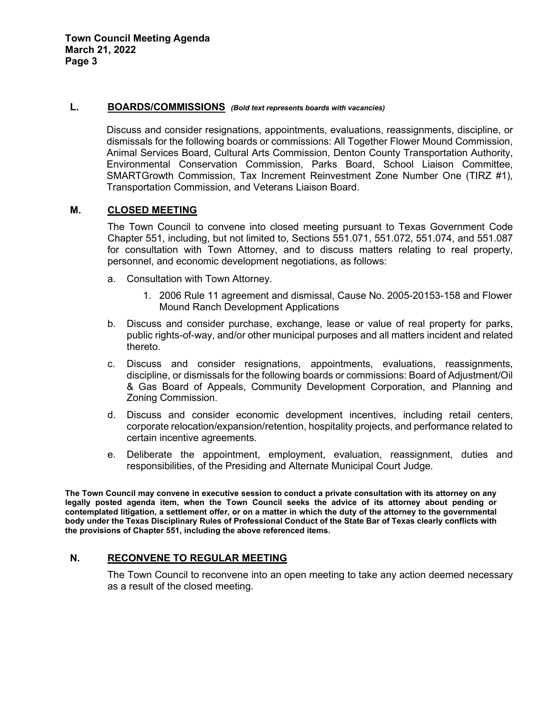**Town Council Meeting Agenda March 21, 2022 Page 3**

#### **L. BOARDS/COMMISSIONS** *(Bold text represents boards with vacancies)*

Discuss and consider resignations, appointments, evaluations, reassignments, discipline, or dismissals for the following boards or commissions: All Together Flower Mound Commission, Animal Services Board, Cultural Arts Commission, Denton County Transportation Authority, Environmental Conservation Commission, Parks Board, School Liaison Committee, SMARTGrowth Commission, Tax Increment Reinvestment Zone Number One (TIRZ #1), Transportation Commission, and Veterans Liaison Board.

#### **M. CLOSED MEETING**

The Town Council to convene into closed meeting pursuant to Texas Government Code Chapter 551, including, but not limited to, Sections 551.071, 551.072, 551.074, and 551.087 for consultation with Town Attorney, and to discuss matters relating to real property, personnel, and economic development negotiations, as follows:

- a. Consultation with Town Attorney.
	- 1. 2006 Rule 11 agreement and dismissal, Cause No. 2005-20153-158 and Flower Mound Ranch Development Applications
- b. Discuss and consider purchase, exchange, lease or value of real property for parks, public rights-of-way, and/or other municipal purposes and all matters incident and related thereto.
- c. Discuss and consider resignations, appointments, evaluations, reassignments, discipline, or dismissals for the following boards or commissions: Board of Adjustment/Oil & Gas Board of Appeals, Community Development Corporation, and Planning and Zoning Commission.
- d. Discuss and consider economic development incentives, including retail centers, corporate relocation/expansion/retention, hospitality projects, and performance related to certain incentive agreements.
- e. Deliberate the appointment, employment, evaluation, reassignment, duties and responsibilities, of the Presiding and Alternate Municipal Court Judge.

**The Town Council may convene in executive session to conduct a private consultation with its attorney on any legally posted agenda item, when the Town Council seeks the advice of its attorney about pending or contemplated litigation, a settlement offer, or on a matter in which the duty of the attorney to the governmental body under the Texas Disciplinary Rules of Professional Conduct of the State Bar of Texas clearly conflicts with the provisions of Chapter 551, including the above referenced items.** 

### **N. RECONVENE TO REGULAR MEETING**

The Town Council to reconvene into an open meeting to take any action deemed necessary as a result of the closed meeting.